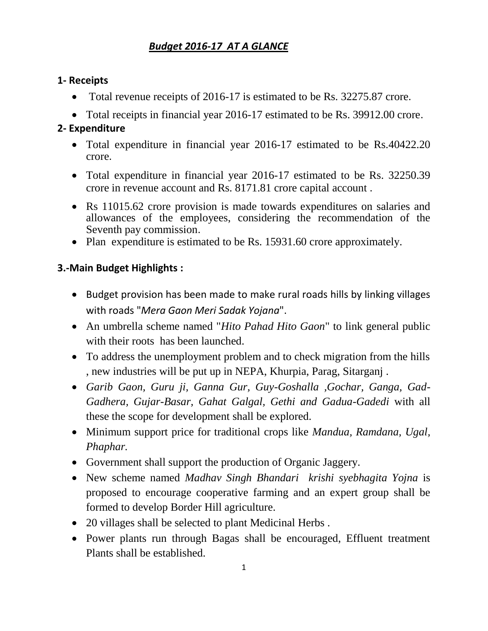## *Budget 2016-17 AT A GLANCE*

## **1- Receipts**

- Total revenue receipts of 2016-17 is estimated to be Rs. 32275.87 crore.
- Total receipts in financial year 2016-17 estimated to be Rs. 39912.00 crore.

## **2- Expenditure**

- Total expenditure in financial year 2016-17 estimated to be Rs.40422.20 crore.
- Total expenditure in financial year 2016-17 estimated to be Rs. 32250.39 crore in revenue account and Rs. 8171.81 crore capital account .
- Rs 11015.62 crore provision is made towards expenditures on salaries and allowances of the employees, considering the recommendation of the Seventh pay commission.
- Plan expenditure is estimated to be Rs. 15931.60 crore approximately.

## **3.-Main Budget Highlights :**

- Budget provision has been made to make rural roads hills by linking villages with roads "*Mera Gaon Meri Sadak Yojana*".
- An umbrella scheme named "*Hito Pahad Hito Gaon*" to link general public with their roots has been launched.
- To address the unemployment problem and to check migration from the hills , new industries will be put up in NEPA, Khurpia, Parag, Sitarganj .
- *Garib Gaon, Guru ji, Ganna Gur, Guy-Goshalla ,Gochar, Ganga, Gad-Gadhera, Gujar-Basar, Gahat Galgal, Gethi and Gadua-Gadedi* with all these the scope for development shall be explored.
- Minimum support price for traditional crops like *Mandua, Ramdana, Ugal, Phaphar.*
- Government shall support the production of Organic Jaggery.
- New scheme named *Madhav Singh Bhandari krishi syebhagita Yojna* is proposed to encourage cooperative farming and an expert group shall be formed to develop Border Hill agriculture.
- 20 villages shall be selected to plant Medicinal Herbs.
- Power plants run through Bagas shall be encouraged, Effluent treatment Plants shall be established.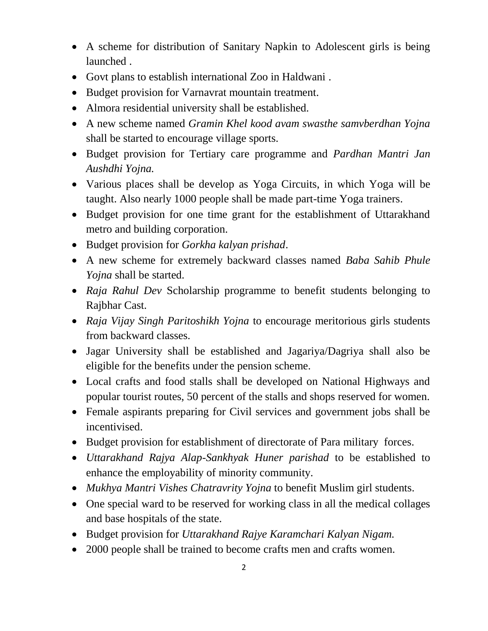- A scheme for distribution of Sanitary Napkin to Adolescent girls is being launched .
- Govt plans to establish international Zoo in Haldwani .
- Budget provision for Varnavrat mountain treatment.
- Almora residential university shall be established.
- A new scheme named *Gramin Khel kood avam swasthe samvberdhan Yojna*  shall be started to encourage village sports.
- Budget provision for Tertiary care programme and *Pardhan Mantri Jan Aushdhi Yojna.*
- Various places shall be develop as Yoga Circuits, in which Yoga will be taught. Also nearly 1000 people shall be made part-time Yoga trainers.
- Budget provision for one time grant for the establishment of Uttarakhand metro and building corporation.
- Budget provision for *Gorkha kalyan prishad*.
- A new scheme for extremely backward classes named *Baba Sahib Phule Yojna* shall be started.
- *Raja Rahul Dev* Scholarship programme to benefit students belonging to Rajbhar Cast.
- *Raja Vijay Singh Paritoshikh Yojna* to encourage meritorious girls students from backward classes.
- Jagar University shall be established and Jagariya/Dagriya shall also be eligible for the benefits under the pension scheme.
- Local crafts and food stalls shall be developed on National Highways and popular tourist routes, 50 percent of the stalls and shops reserved for women.
- Female aspirants preparing for Civil services and government jobs shall be incentivised.
- Budget provision for establishment of directorate of Para military forces.
- *Uttarakhand Rajya Alap-Sankhyak Huner parishad* to be established to enhance the employability of minority community.
- *Mukhya Mantri Vishes Chatravrity Yojna* to benefit Muslim girl students.
- One special ward to be reserved for working class in all the medical collages and base hospitals of the state.
- Budget provision for *Uttarakhand Rajye Karamchari Kalyan Nigam.*
- 2000 people shall be trained to become crafts men and crafts women.